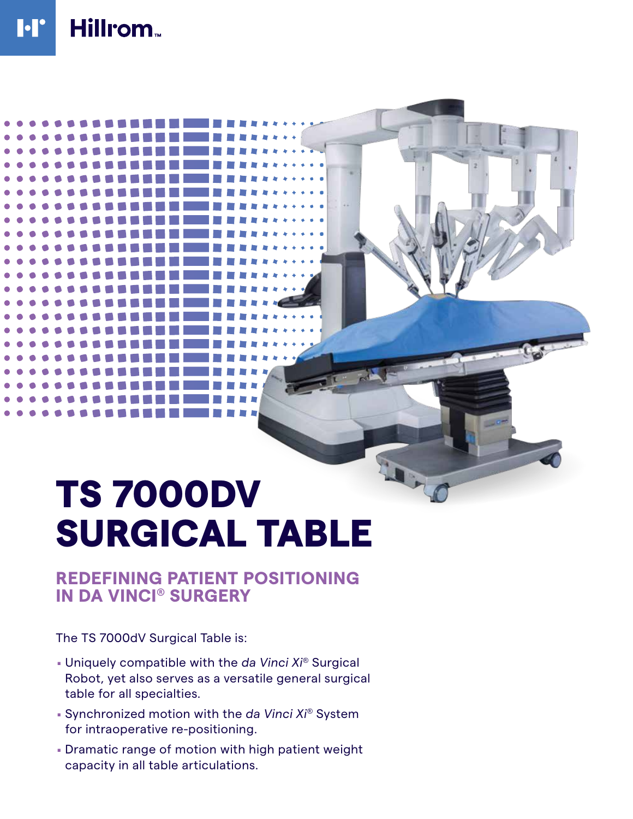# TS 7000DV SURGICAL TABLE

10-0

## **REDEFINING PATIENT POSITIONING IN DA VINCI® SURGERY**

The TS 7000dV Surgical Table is:

- . Uniquely compatible with the *da Vinci Xi®* Surgical Robot, yet also serves as a versatile general surgical table for all specialties.
- . Synchronized motion with the *da Vinci Xi®* System for intraoperative re-positioning.
- . Dramatic range of motion with high patient weight capacity in all table articulations.